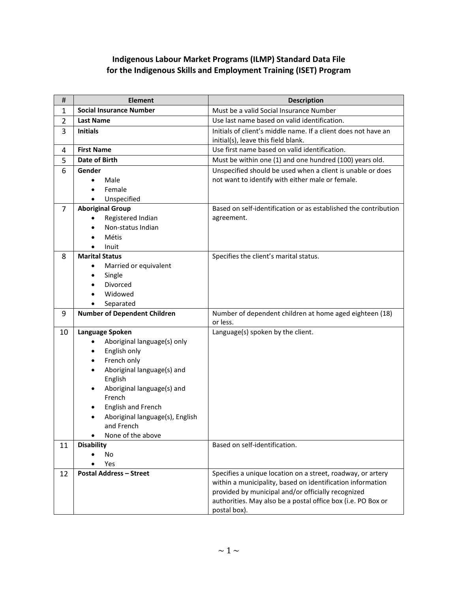## **Indigenous Labour Market Programs (ILMP) Standard Data File for the Indigenous Skills and Employment Training (ISET) Program**

| #              | <b>Element</b>                              | <b>Description</b>                                              |
|----------------|---------------------------------------------|-----------------------------------------------------------------|
| 1              | <b>Social Insurance Number</b>              | Must be a valid Social Insurance Number                         |
| $\overline{2}$ | <b>Last Name</b>                            | Use last name based on valid identification.                    |
| 3              | <b>Initials</b>                             | Initials of client's middle name. If a client does not have an  |
|                |                                             | initial(s), leave this field blank.                             |
| 4              | <b>First Name</b>                           | Use first name based on valid identification.                   |
| 5              | Date of Birth                               | Must be within one (1) and one hundred (100) years old.         |
| 6              | Gender                                      | Unspecified should be used when a client is unable or does      |
|                | Male<br>$\bullet$                           | not want to identify with either male or female.                |
|                | Female                                      |                                                                 |
|                | Unspecified                                 |                                                                 |
| $\overline{7}$ | <b>Aboriginal Group</b>                     | Based on self-identification or as established the contribution |
|                | Registered Indian                           | agreement.                                                      |
|                | Non-status Indian                           |                                                                 |
|                | <b>Métis</b>                                |                                                                 |
| 8              | Inuit<br><b>Marital Status</b>              | Specifies the client's marital status.                          |
|                | Married or equivalent                       |                                                                 |
|                | Single                                      |                                                                 |
|                | Divorced                                    |                                                                 |
|                | Widowed                                     |                                                                 |
|                | Separated                                   |                                                                 |
| 9              | <b>Number of Dependent Children</b>         | Number of dependent children at home aged eighteen (18)         |
|                |                                             | or less.                                                        |
| 10             | Language Spoken                             | Language(s) spoken by the client.                               |
|                | Aboriginal language(s) only<br>$\bullet$    |                                                                 |
|                | English only<br>$\bullet$                   |                                                                 |
|                | French only<br>٠                            |                                                                 |
|                | Aboriginal language(s) and<br>$\bullet$     |                                                                 |
|                | English                                     |                                                                 |
|                | Aboriginal language(s) and                  |                                                                 |
|                | French                                      |                                                                 |
|                | English and French                          |                                                                 |
|                | Aboriginal language(s), English             |                                                                 |
|                | and French                                  |                                                                 |
| 11             | None of the above<br>٠<br><b>Disability</b> | Based on self-identification.                                   |
|                | No                                          |                                                                 |
|                | Yes                                         |                                                                 |
| 12             | <b>Postal Address - Street</b>              | Specifies a unique location on a street, roadway, or artery     |
|                |                                             | within a municipality, based on identification information      |
|                |                                             | provided by municipal and/or officially recognized              |
|                |                                             | authorities. May also be a postal office box (i.e. PO Box or    |
|                |                                             | postal box).                                                    |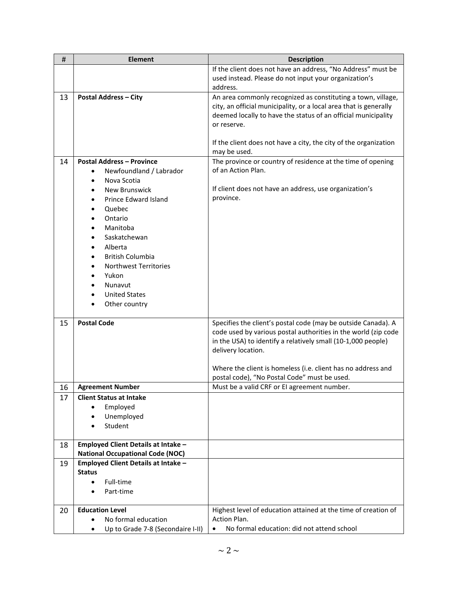| #  | <b>Element</b>                          | <b>Description</b>                                                                                                                                                                                                |
|----|-----------------------------------------|-------------------------------------------------------------------------------------------------------------------------------------------------------------------------------------------------------------------|
|    |                                         | If the client does not have an address, "No Address" must be                                                                                                                                                      |
|    |                                         | used instead. Please do not input your organization's                                                                                                                                                             |
|    |                                         | address.                                                                                                                                                                                                          |
| 13 | <b>Postal Address - City</b>            | An area commonly recognized as constituting a town, village,<br>city, an official municipality, or a local area that is generally<br>deemed locally to have the status of an official municipality<br>or reserve. |
|    |                                         | If the client does not have a city, the city of the organization<br>may be used.                                                                                                                                  |
| 14 | <b>Postal Address - Province</b>        | The province or country of residence at the time of opening                                                                                                                                                       |
|    | Newfoundland / Labrador<br>$\bullet$    | of an Action Plan.                                                                                                                                                                                                |
|    | Nova Scotia                             |                                                                                                                                                                                                                   |
|    | <b>New Brunswick</b>                    | If client does not have an address, use organization's                                                                                                                                                            |
|    | Prince Edward Island                    | province.                                                                                                                                                                                                         |
|    | Quebec                                  |                                                                                                                                                                                                                   |
|    | Ontario                                 |                                                                                                                                                                                                                   |
|    | Manitoba                                |                                                                                                                                                                                                                   |
|    | Saskatchewan                            |                                                                                                                                                                                                                   |
|    | Alberta<br><b>British Columbia</b>      |                                                                                                                                                                                                                   |
|    | <b>Northwest Territories</b>            |                                                                                                                                                                                                                   |
|    | Yukon                                   |                                                                                                                                                                                                                   |
|    | Nunavut                                 |                                                                                                                                                                                                                   |
|    | <b>United States</b>                    |                                                                                                                                                                                                                   |
|    | Other country                           |                                                                                                                                                                                                                   |
|    |                                         |                                                                                                                                                                                                                   |
| 15 | <b>Postal Code</b>                      | Specifies the client's postal code (may be outside Canada). A                                                                                                                                                     |
|    |                                         | code used by various postal authorities in the world (zip code                                                                                                                                                    |
|    |                                         | in the USA) to identify a relatively small (10-1,000 people)                                                                                                                                                      |
|    |                                         | delivery location.                                                                                                                                                                                                |
|    |                                         | Where the client is homeless (i.e. client has no address and                                                                                                                                                      |
|    |                                         | postal code), "No Postal Code" must be used.                                                                                                                                                                      |
| 16 | <b>Agreement Number</b>                 | Must be a valid CRF or EI agreement number.                                                                                                                                                                       |
| 17 | <b>Client Status at Intake</b>          |                                                                                                                                                                                                                   |
|    | Employed<br>$\bullet$                   |                                                                                                                                                                                                                   |
|    | Unemployed                              |                                                                                                                                                                                                                   |
|    | Student                                 |                                                                                                                                                                                                                   |
|    |                                         |                                                                                                                                                                                                                   |
| 18 | Employed Client Details at Intake -     |                                                                                                                                                                                                                   |
|    | <b>National Occupational Code (NOC)</b> |                                                                                                                                                                                                                   |
| 19 | Employed Client Details at Intake -     |                                                                                                                                                                                                                   |
|    | <b>Status</b>                           |                                                                                                                                                                                                                   |
|    | Full-time<br>$\bullet$                  |                                                                                                                                                                                                                   |
|    | Part-time                               |                                                                                                                                                                                                                   |
| 20 | <b>Education Level</b>                  | Highest level of education attained at the time of creation of                                                                                                                                                    |
|    | No formal education                     | Action Plan.                                                                                                                                                                                                      |
|    | Up to Grade 7-8 (Secondaire I-II)       | No formal education: did not attend school                                                                                                                                                                        |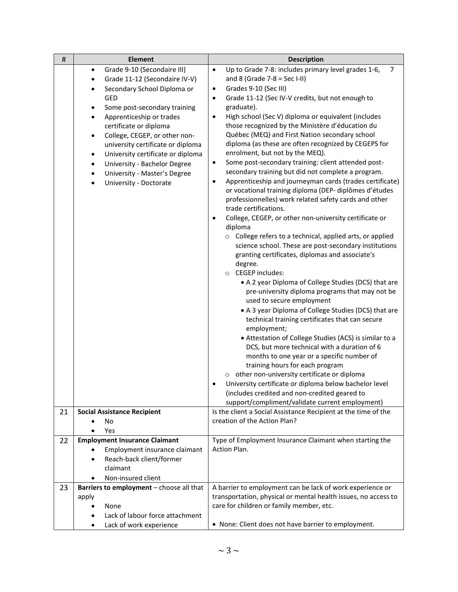| $\pmb{\sharp}$ | <b>Element</b>                                                                                                                                                                                                                                                                                                                                                                                                                                                                                                                  | <b>Description</b>                                                                                                                                                                                                                                                                                                                                                                                                                                                                                                                                                                                                                                                                                                                                                                                                                                                                                                                                                                                                                                                                                                                                                                                                                                                                                                                                                                                                                                                                                                                                                                                                                                                                                                                                                                                 |
|----------------|---------------------------------------------------------------------------------------------------------------------------------------------------------------------------------------------------------------------------------------------------------------------------------------------------------------------------------------------------------------------------------------------------------------------------------------------------------------------------------------------------------------------------------|----------------------------------------------------------------------------------------------------------------------------------------------------------------------------------------------------------------------------------------------------------------------------------------------------------------------------------------------------------------------------------------------------------------------------------------------------------------------------------------------------------------------------------------------------------------------------------------------------------------------------------------------------------------------------------------------------------------------------------------------------------------------------------------------------------------------------------------------------------------------------------------------------------------------------------------------------------------------------------------------------------------------------------------------------------------------------------------------------------------------------------------------------------------------------------------------------------------------------------------------------------------------------------------------------------------------------------------------------------------------------------------------------------------------------------------------------------------------------------------------------------------------------------------------------------------------------------------------------------------------------------------------------------------------------------------------------------------------------------------------------------------------------------------------------|
|                | Grade 9-10 (Secondaire III)<br>$\bullet$<br>Grade 11-12 (Secondaire IV-V)<br>$\bullet$<br>Secondary School Diploma or<br>$\bullet$<br>GED<br>Some post-secondary training<br>$\bullet$<br>Apprenticeship or trades<br>$\bullet$<br>certificate or diploma<br>College, CEGEP, or other non-<br>$\bullet$<br>university certificate or diploma<br>University certificate or diploma<br>$\bullet$<br>University - Bachelor Degree<br>$\bullet$<br>University - Master's Degree<br>$\bullet$<br>University - Doctorate<br>$\bullet$ | Up to Grade 7-8: includes primary level grades 1-6,<br>$\overline{7}$<br>$\bullet$<br>and 8 (Grade $7-8 =$ Sec I-II)<br>Grades 9-10 (Sec III)<br>$\bullet$<br>Grade 11-12 (Sec IV-V credits, but not enough to<br>$\bullet$<br>graduate).<br>High school (Sec V) diploma or equivalent (includes<br>٠<br>those recognized by the Ministère d'éducation du<br>Québec (MEQ) and First Nation secondary school<br>diploma (as these are often recognized by CEGEPS for<br>enrolment, but not by the MEQ).<br>Some post-secondary training: client attended post-<br>$\bullet$<br>secondary training but did not complete a program.<br>Apprenticeship and journeyman cards (trades certificate)<br>$\bullet$<br>or vocational training diploma (DEP- diplômes d'études<br>professionnelles) work related safety cards and other<br>trade certifications.<br>College, CEGEP, or other non-university certificate or<br>$\bullet$<br>diploma<br>o College refers to a technical, applied arts, or applied<br>science school. These are post-secondary institutions<br>granting certificates, diplomas and associate's<br>degree.<br><b>CEGEP</b> includes:<br>$\circ$<br>• A 2 year Diploma of College Studies (DCS) that are<br>pre-university diploma programs that may not be<br>used to secure employment<br>• A 3 year Diploma of College Studies (DCS) that are<br>technical training certificates that can secure<br>employment;<br>• Attestation of College Studies (ACS) is similar to a<br>DCS, but more technical with a duration of 6<br>months to one year or a specific number of<br>training hours for each program<br>other non-university certificate or diploma<br>$\circ$<br>University certificate or diploma below bachelor level<br>(includes credited and non-credited geared to |
|                |                                                                                                                                                                                                                                                                                                                                                                                                                                                                                                                                 | support/compliment/validate current employment)                                                                                                                                                                                                                                                                                                                                                                                                                                                                                                                                                                                                                                                                                                                                                                                                                                                                                                                                                                                                                                                                                                                                                                                                                                                                                                                                                                                                                                                                                                                                                                                                                                                                                                                                                    |
| 21             | <b>Social Assistance Recipient</b><br>No<br>Yes                                                                                                                                                                                                                                                                                                                                                                                                                                                                                 | Is the client a Social Assistance Recipient at the time of the<br>creation of the Action Plan?                                                                                                                                                                                                                                                                                                                                                                                                                                                                                                                                                                                                                                                                                                                                                                                                                                                                                                                                                                                                                                                                                                                                                                                                                                                                                                                                                                                                                                                                                                                                                                                                                                                                                                     |
| 22             | <b>Employment Insurance Claimant</b><br>Employment insurance claimant<br>Reach-back client/former<br>claimant<br>Non-insured client<br>٠                                                                                                                                                                                                                                                                                                                                                                                        | Type of Employment Insurance Claimant when starting the<br>Action Plan.                                                                                                                                                                                                                                                                                                                                                                                                                                                                                                                                                                                                                                                                                                                                                                                                                                                                                                                                                                                                                                                                                                                                                                                                                                                                                                                                                                                                                                                                                                                                                                                                                                                                                                                            |
| 23             | Barriers to employment - choose all that<br>apply<br>None<br>$\bullet$<br>Lack of labour force attachment                                                                                                                                                                                                                                                                                                                                                                                                                       | A barrier to employment can be lack of work experience or<br>transportation, physical or mental health issues, no access to<br>care for children or family member, etc.                                                                                                                                                                                                                                                                                                                                                                                                                                                                                                                                                                                                                                                                                                                                                                                                                                                                                                                                                                                                                                                                                                                                                                                                                                                                                                                                                                                                                                                                                                                                                                                                                            |
|                | Lack of work experience<br>$\bullet$                                                                                                                                                                                                                                                                                                                                                                                                                                                                                            | • None: Client does not have barrier to employment.                                                                                                                                                                                                                                                                                                                                                                                                                                                                                                                                                                                                                                                                                                                                                                                                                                                                                                                                                                                                                                                                                                                                                                                                                                                                                                                                                                                                                                                                                                                                                                                                                                                                                                                                                |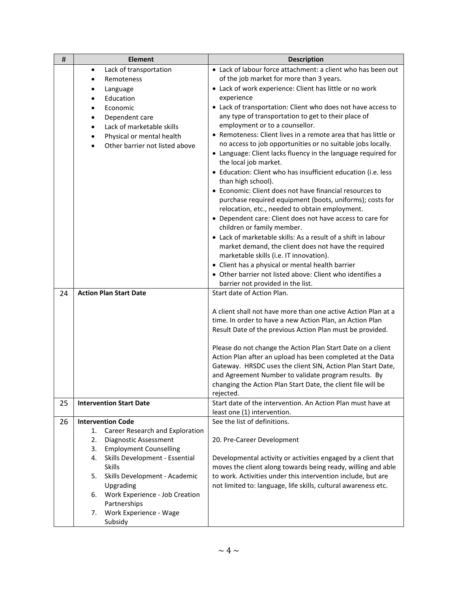| #  | <b>Element</b>                                   | <b>Description</b>                                                                                                             |
|----|--------------------------------------------------|--------------------------------------------------------------------------------------------------------------------------------|
|    | Lack of transportation<br>$\bullet$              | • Lack of labour force attachment: a client who has been out                                                                   |
|    | Remoteness<br>$\bullet$                          | of the job market for more than 3 years.                                                                                       |
|    | Language<br>$\bullet$                            | • Lack of work experience: Client has little or no work                                                                        |
|    | Education<br>$\bullet$                           | experience                                                                                                                     |
|    | Economic<br>$\bullet$                            | • Lack of transportation: Client who does not have access to                                                                   |
|    | Dependent care                                   | any type of transportation to get to their place of                                                                            |
|    | Lack of marketable skills<br>$\bullet$           | employment or to a counsellor.                                                                                                 |
|    | Physical or mental health<br>$\bullet$           | • Remoteness: Client lives in a remote area that has little or                                                                 |
|    | Other barrier not listed above<br>$\bullet$      | no access to job opportunities or no suitable jobs locally.                                                                    |
|    |                                                  | • Language: Client lacks fluency in the language required for                                                                  |
|    |                                                  | the local job market.                                                                                                          |
|    |                                                  | • Education: Client who has insufficient education (i.e. less                                                                  |
|    |                                                  | than high school).                                                                                                             |
|    |                                                  | • Economic: Client does not have financial resources to                                                                        |
|    |                                                  | purchase required equipment (boots, uniforms); costs for                                                                       |
|    |                                                  | relocation, etc., needed to obtain employment.                                                                                 |
|    |                                                  | • Dependent care: Client does not have access to care for<br>children or family member.                                        |
|    |                                                  | • Lack of marketable skills: As a result of a shift in labour                                                                  |
|    |                                                  | market demand, the client does not have the required                                                                           |
|    |                                                  | marketable skills (i.e. IT innovation).                                                                                        |
|    |                                                  | • Client has a physical or mental health barrier                                                                               |
|    |                                                  | • Other barrier not listed above: Client who identifies a                                                                      |
|    |                                                  | barrier not provided in the list.                                                                                              |
| 24 | <b>Action Plan Start Date</b>                    | Start date of Action Plan.                                                                                                     |
|    |                                                  |                                                                                                                                |
|    |                                                  | A client shall not have more than one active Action Plan at a                                                                  |
|    |                                                  | time. In order to have a new Action Plan, an Action Plan                                                                       |
|    |                                                  | Result Date of the previous Action Plan must be provided.                                                                      |
|    |                                                  |                                                                                                                                |
|    |                                                  | Please do not change the Action Plan Start Date on a client                                                                    |
|    |                                                  | Action Plan after an upload has been completed at the Data<br>Gateway. HRSDC uses the client SIN, Action Plan Start Date,      |
|    |                                                  | and Agreement Number to validate program results. By                                                                           |
|    |                                                  | changing the Action Plan Start Date, the client file will be                                                                   |
|    |                                                  | rejected.                                                                                                                      |
| 25 | <b>Intervention Start Date</b>                   | Start date of the intervention. An Action Plan must have at                                                                    |
|    |                                                  | least one (1) intervention.                                                                                                    |
| 26 | <b>Intervention Code</b>                         | See the list of definitions.                                                                                                   |
|    | Career Research and Exploration<br>1.            |                                                                                                                                |
|    | 2.<br>Diagnostic Assessment                      | 20. Pre-Career Development                                                                                                     |
|    | <b>Employment Counselling</b><br>3.              |                                                                                                                                |
|    | Skills Development - Essential<br>4.             | Developmental activity or activities engaged by a client that                                                                  |
|    | <b>Skills</b>                                    | moves the client along towards being ready, willing and able                                                                   |
|    | Skills Development - Academic<br>5.<br>Upgrading | to work. Activities under this intervention include, but are<br>not limited to: language, life skills, cultural awareness etc. |
|    | Work Experience - Job Creation<br>6.             |                                                                                                                                |
|    | Partnerships                                     |                                                                                                                                |
|    | Work Experience - Wage<br>7.                     |                                                                                                                                |
|    | Subsidy                                          |                                                                                                                                |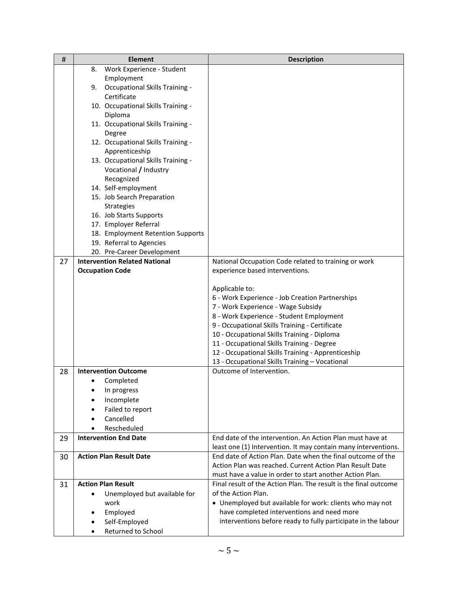| #  | <b>Element</b>                              | <b>Description</b>                                                                                                          |
|----|---------------------------------------------|-----------------------------------------------------------------------------------------------------------------------------|
|    | Work Experience - Student<br>8.             |                                                                                                                             |
|    | Employment                                  |                                                                                                                             |
|    | <b>Occupational Skills Training -</b><br>9. |                                                                                                                             |
|    | Certificate                                 |                                                                                                                             |
|    | 10. Occupational Skills Training -          |                                                                                                                             |
|    | Diploma                                     |                                                                                                                             |
|    | 11. Occupational Skills Training -          |                                                                                                                             |
|    | Degree                                      |                                                                                                                             |
|    | 12. Occupational Skills Training -          |                                                                                                                             |
|    | Apprenticeship                              |                                                                                                                             |
|    | 13. Occupational Skills Training -          |                                                                                                                             |
|    | Vocational / Industry                       |                                                                                                                             |
|    | Recognized                                  |                                                                                                                             |
|    | 14. Self-employment                         |                                                                                                                             |
|    | 15. Job Search Preparation                  |                                                                                                                             |
|    | <b>Strategies</b>                           |                                                                                                                             |
|    | 16. Job Starts Supports                     |                                                                                                                             |
|    | 17. Employer Referral                       |                                                                                                                             |
|    | 18. Employment Retention Supports           |                                                                                                                             |
|    | 19. Referral to Agencies                    |                                                                                                                             |
|    | 20. Pre-Career Development                  |                                                                                                                             |
| 27 | <b>Intervention Related National</b>        | National Occupation Code related to training or work                                                                        |
|    | <b>Occupation Code</b>                      | experience based interventions.                                                                                             |
|    |                                             |                                                                                                                             |
|    |                                             | Applicable to:                                                                                                              |
|    |                                             | 6 - Work Experience - Job Creation Partnerships                                                                             |
|    |                                             | 7 - Work Experience - Wage Subsidy                                                                                          |
|    |                                             | 8 - Work Experience - Student Employment                                                                                    |
|    |                                             | 9 - Occupational Skills Training - Certificate                                                                              |
|    |                                             | 10 - Occupational Skills Training - Diploma                                                                                 |
|    |                                             | 11 - Occupational Skills Training - Degree                                                                                  |
|    |                                             | 12 - Occupational Skills Training - Apprenticeship                                                                          |
|    |                                             | 13 - Occupational Skills Training - Vocational<br>Outcome of Intervention.                                                  |
| 28 | <b>Intervention Outcome</b>                 |                                                                                                                             |
|    | Completed                                   |                                                                                                                             |
|    | In progress                                 |                                                                                                                             |
|    | Incomplete                                  |                                                                                                                             |
|    | Failed to report                            |                                                                                                                             |
|    | Cancelled                                   |                                                                                                                             |
|    | Rescheduled                                 |                                                                                                                             |
| 29 | <b>Intervention End Date</b>                | End date of the intervention. An Action Plan must have at<br>least one (1) Intervention. It may contain many interventions. |
| 30 | <b>Action Plan Result Date</b>              | End date of Action Plan. Date when the final outcome of the                                                                 |
|    |                                             | Action Plan was reached. Current Action Plan Result Date                                                                    |
|    |                                             | must have a value in order to start another Action Plan.                                                                    |
| 31 | <b>Action Plan Result</b>                   | Final result of the Action Plan. The result is the final outcome                                                            |
|    | Unemployed but available for                | of the Action Plan.                                                                                                         |
|    | work                                        | • Unemployed but available for work: clients who may not                                                                    |
|    | Employed                                    | have completed interventions and need more                                                                                  |
|    | Self-Employed                               | interventions before ready to fully participate in the labour                                                               |
|    | Returned to School                          |                                                                                                                             |
|    |                                             |                                                                                                                             |